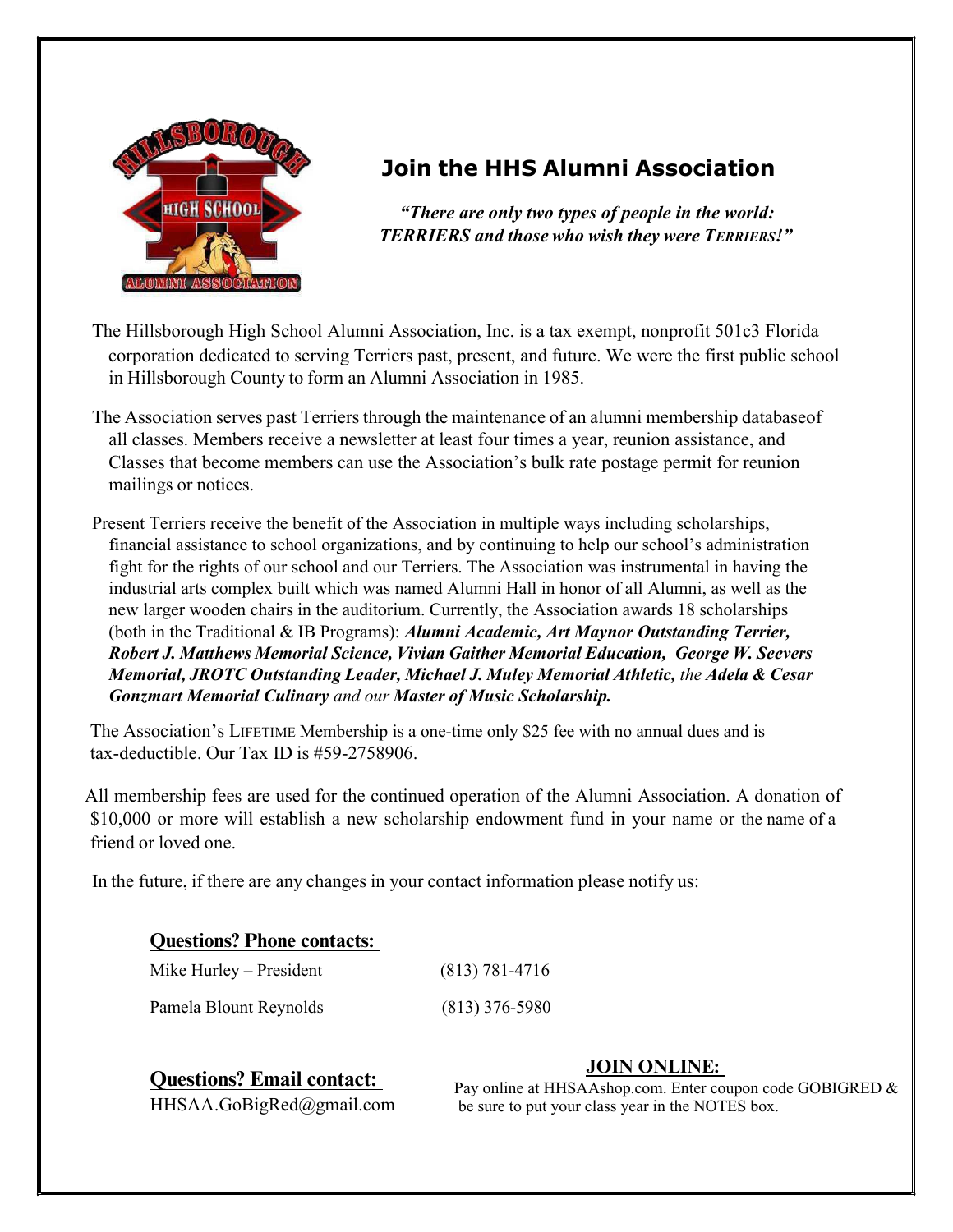

## Join the HHS Alumni Association

"There are only two types of people in the world: TERRIERS and those who wish they were TERRIERS!"

- The Hillsborough High School Alumni Association, Inc. is a tax exempt, nonprofit 501c3 Florida corporation dedicated to serving Terriers past, present, and future. We were the first public school corporation dedicated to serving Terriers past, present, and future. We were the first public school in Hillsborough County to form an Alumni Association in 1985.
- The Association serves past Terriers through the maintenance of an alumni membership database of all classes. Members receive a newsletter at least four times a year, reunion assistance, and Classes that become members can use the Association's bulk rate postage permit for reunion mailings or notices.
- Present Terriers receive the benefit of the Association in multiple ways including scholarships, financial assistance to school organizations, and by continuing to help our school's administration fight for the rights of our school and our Terriers. The Association was instrumental in having the industrial arts complex built which was named Alumni Hall in honor of all Alumni, as well as the new larger wooden chairs in the auditorium. Currently, the Association awards 18 scholarships (both in the Traditional & IB Programs): Alumni Academic, Art Maynor Outstanding Terrier, Robert J. Matthews Memorial Science, Vivian Gaither Memorial Education, George W. Seevers Memorial, JROTC Outstanding Leader, Michael J. Muley Memorial Athletic, the Adela & Cesar Gonzmart Memorial Culinary and our Master of Music Scholarship.

The Association's LIFETIME Membership is a one-time only \$25 fee with no annual dues and is Membership is a one-time only \$25 fee with no annual dues and is tax- deductible. Our Tax ID is #59-2758906.

All membership fees are used for the continued operation of the Alumni Association. A donation of \$10,000 or more will establish a new scholarship endowment fund in your name or the name of a friend or loved one.

In the future, if there are any changes in your contact information please notify us:

## **Questions? Phone contacts:**

| Mike Hurley – President | $(813) 781 - 4716$ |
|-------------------------|--------------------|
| Pamela Blount Reynolds  | $(813)$ 376-5980   |

**Questions? Email contact:** Pay online at HHSA Ashon come Enter contact:

## **JOIN ONLINE:**

 $HHSAA.GoBigRed@gmail.com$  be sure to put your class year in the NOTES box. Pay online at HHSAAshop.com. Enter coupon code GOBIGRED &